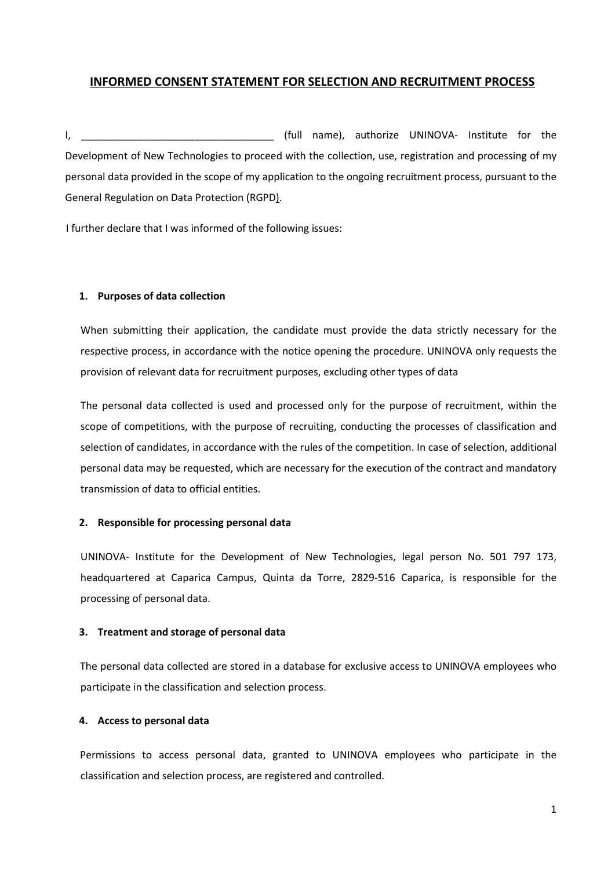# INFORMED CONSENT STATEMENT FOR SELECTION AND RECRUITMENT PROCESS

I, the contract of the contract of the contract of the contract of the contract of the contract of the contract of the contract of the contract of the contract of the contract of the contract of the contract of the contrac Development of New Technologies to proceed with the collection, use, registration and processing of my personal data provided in the scope of my application to the ongoing recruitment process, pursuant to the General Regulation on Data Protection (RGPD).

I further declare that I was informed of the following issues:

## 1. Purposes of data collection

When submitting their application, the candidate must provide the data strictly necessary for the respective process, in accordance with the notice opening the procedure. UNINOVA only requests the provision of relevant data for recruitment purposes, excluding other types of data

The personal data collected is used and processed only for the purpose of recruitment, within the scope of competitions, with the purpose of recruiting, conducting the processes of classification and selection of candidates, in accordance with the rules of the competition. In case of selection, additional personal data may be requested, which are necessary for the execution of the contract and mandatory transmission of data to official entities.

#### 2. Responsible for processing personal data

UNINOVA- Institute for the Development of New Technologies, legal person No. 501 797 173, headquartered at Caparica Campus, Quinta da Torre, 2829-516 Caparica, is responsible for the processing of personal data.

#### 3. Treatment and storage of personal data

The personal data collected are stored in a database for exclusive access to UNINOVA employees who participate in the classification and selection process.

# 4. Access to personal data

Permissions to access personal data, granted to UNINOVA employees who participate in the classification and selection process, are registered and controlled.